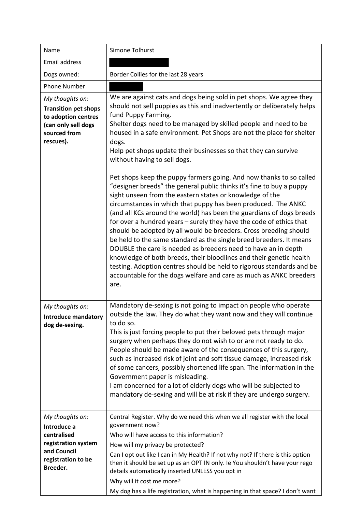| Name                                                                                                                      | Simone Tolhurst                                                                                                                                                                                                                                                                                                                                                                                                                                                                                                                                                                                                                                                                                                                                                                                                                                                                                                                                                                                                                                                                                                                                                                                                                                                                                       |
|---------------------------------------------------------------------------------------------------------------------------|-------------------------------------------------------------------------------------------------------------------------------------------------------------------------------------------------------------------------------------------------------------------------------------------------------------------------------------------------------------------------------------------------------------------------------------------------------------------------------------------------------------------------------------------------------------------------------------------------------------------------------------------------------------------------------------------------------------------------------------------------------------------------------------------------------------------------------------------------------------------------------------------------------------------------------------------------------------------------------------------------------------------------------------------------------------------------------------------------------------------------------------------------------------------------------------------------------------------------------------------------------------------------------------------------------|
| Email address                                                                                                             |                                                                                                                                                                                                                                                                                                                                                                                                                                                                                                                                                                                                                                                                                                                                                                                                                                                                                                                                                                                                                                                                                                                                                                                                                                                                                                       |
| Dogs owned:                                                                                                               | Border Collies for the last 28 years                                                                                                                                                                                                                                                                                                                                                                                                                                                                                                                                                                                                                                                                                                                                                                                                                                                                                                                                                                                                                                                                                                                                                                                                                                                                  |
| <b>Phone Number</b>                                                                                                       |                                                                                                                                                                                                                                                                                                                                                                                                                                                                                                                                                                                                                                                                                                                                                                                                                                                                                                                                                                                                                                                                                                                                                                                                                                                                                                       |
| My thoughts on:<br><b>Transition pet shops</b><br>to adoption centres<br>(can only sell dogs<br>sourced from<br>rescues). | We are against cats and dogs being sold in pet shops. We agree they<br>should not sell puppies as this and inadvertently or deliberately helps<br>fund Puppy Farming.<br>Shelter dogs need to be managed by skilled people and need to be<br>housed in a safe environment. Pet Shops are not the place for shelter<br>dogs.<br>Help pet shops update their businesses so that they can survive<br>without having to sell dogs.<br>Pet shops keep the puppy farmers going. And now thanks to so called<br>"designer breeds" the general public thinks it's fine to buy a puppy<br>sight unseen from the eastern states or knowledge of the<br>circumstances in which that puppy has been produced. The ANKC<br>(and all KCs around the world) has been the guardians of dogs breeds<br>for over a hundred years - surely they have the code of ethics that<br>should be adopted by all would be breeders. Cross breeding should<br>be held to the same standard as the single breed breeders. It means<br>DOUBLE the care is needed as breeders need to have an in depth<br>knowledge of both breeds, their bloodlines and their genetic health<br>testing. Adoption centres should be held to rigorous standards and be<br>accountable for the dogs welfare and care as much as ANKC breeders<br>are. |
| My thoughts on:<br><b>Introduce mandatory</b><br>dog de-sexing.                                                           | Mandatory de-sexing is not going to impact on people who operate<br>outside the law. They do what they want now and they will continue<br>to do so.<br>This is just forcing people to put their beloved pets through major<br>surgery when perhaps they do not wish to or are not ready to do.<br>People should be made aware of the consequences of this surgery,<br>such as increased risk of joint and soft tissue damage, increased risk<br>of some cancers, possibly shortened life span. The information in the<br>Government paper is misleading.<br>I am concerned for a lot of elderly dogs who will be subjected to<br>mandatory de-sexing and will be at risk if they are undergo surgery.                                                                                                                                                                                                                                                                                                                                                                                                                                                                                                                                                                                                 |
| My thoughts on:<br>Introduce a<br>centralised<br>registration system<br>and Council<br>registration to be<br>Breeder.     | Central Register. Why do we need this when we all register with the local<br>government now?<br>Who will have access to this information?<br>How will my privacy be protected?<br>Can I opt out like I can in My Health? If not why not? If there is this option<br>then it should be set up as an OPT IN only. Ie You shouldn't have your rego<br>details automatically inserted UNLESS you opt in<br>Why will it cost me more?<br>My dog has a life registration, what is happening in that space? I don't want                                                                                                                                                                                                                                                                                                                                                                                                                                                                                                                                                                                                                                                                                                                                                                                     |